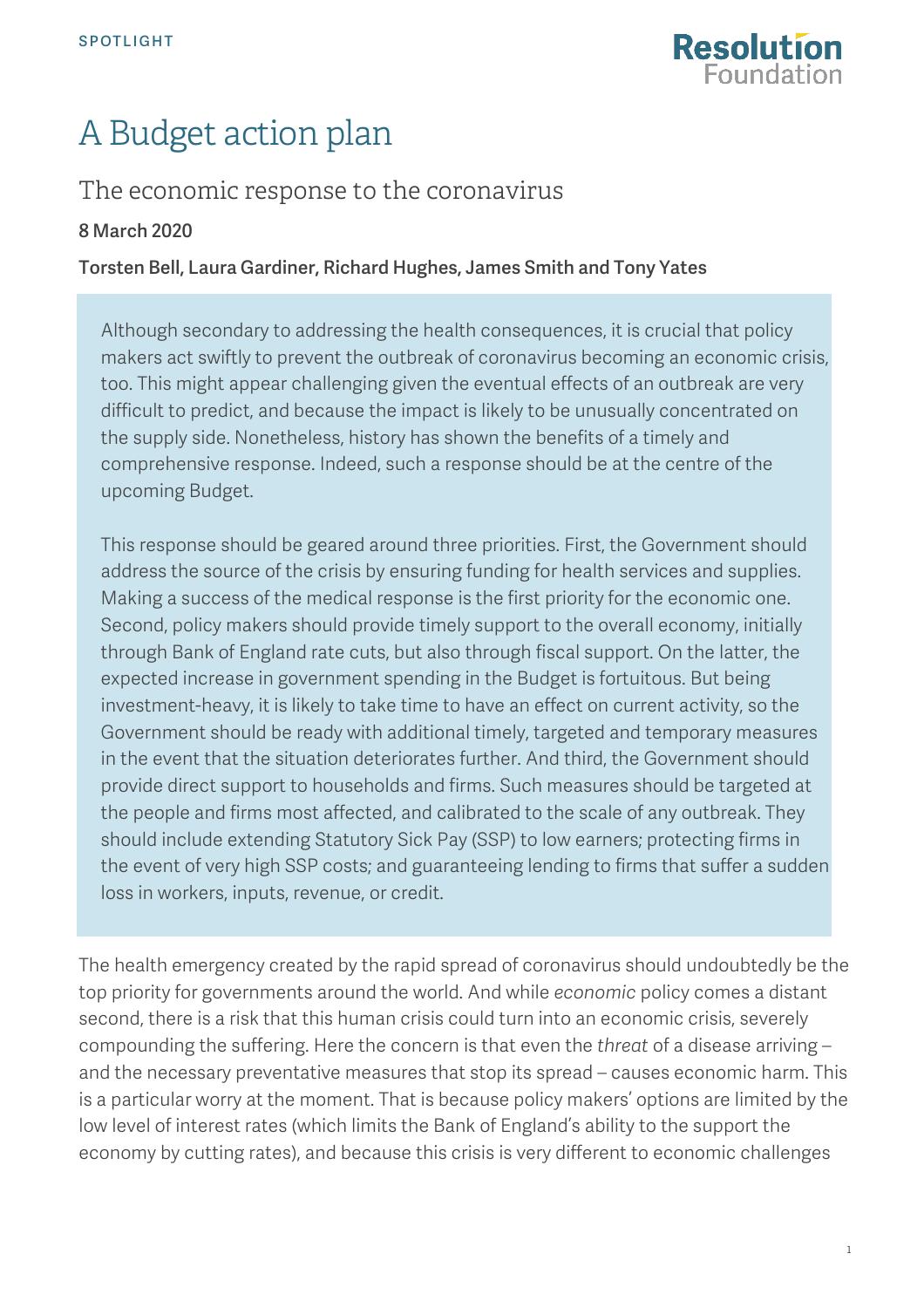

# A Budget action plan

# The economic response to the coronavirus

## 8 March 2020

### Torsten Bell, Laura Gardiner, Richard Hughes, James Smith and Tony Yates

Although secondary to addressing the health consequences, it is crucial that policy makers act swiftly to prevent the outbreak of coronavirus becoming an economic crisis, too. This might appear challenging given the eventual effects of an outbreak are very difficult to predict, and because the impact is likely to be unusually concentrated on the supply side. Nonetheless, history has shown the benefits of a timely and comprehensive response. Indeed, such a response should be at the centre of the upcoming Budget.

This response should be geared around three priorities. First, the Government should address the source of the crisis by ensuring funding for health services and supplies. Making a success of the medical response is the first priority for the economic one. Second, policy makers should provide timely support to the overall economy, initially through Bank of England rate cuts, but also through fiscal support. On the latter, the expected increase in government spending in the Budget is fortuitous. But being investment-heavy, it is likely to take time to have an effect on current activity, so the Government should be ready with additional timely, targeted and temporary measures in the event that the situation deteriorates further. And third, the Government should provide direct support to households and firms. Such measures should be targeted at the people and firms most affected, and calibrated to the scale of any outbreak. They should include extending Statutory Sick Pay (SSP) to low earners; protecting firms in the event of very high SSP costs; and guaranteeing lending to firms that suffer a sudden loss in workers, inputs, revenue, or credit.

The health emergency created by the rapid spread of coronavirus should undoubtedly be the top priority for governments around the world. And while *economic* policy comes a distant second, there is a risk that this human crisis could turn into an economic crisis, severely compounding the suffering. Here the concern is that even the *threat* of a disease arriving – and the necessary preventative measures that stop its spread – causes economic harm. This is a particular worry at the moment. That is because policy makers' options are limited by the low level of interest rates (which limits the Bank of England's ability to the support the economy by cutting rates), and because this crisis is very different to economic challenges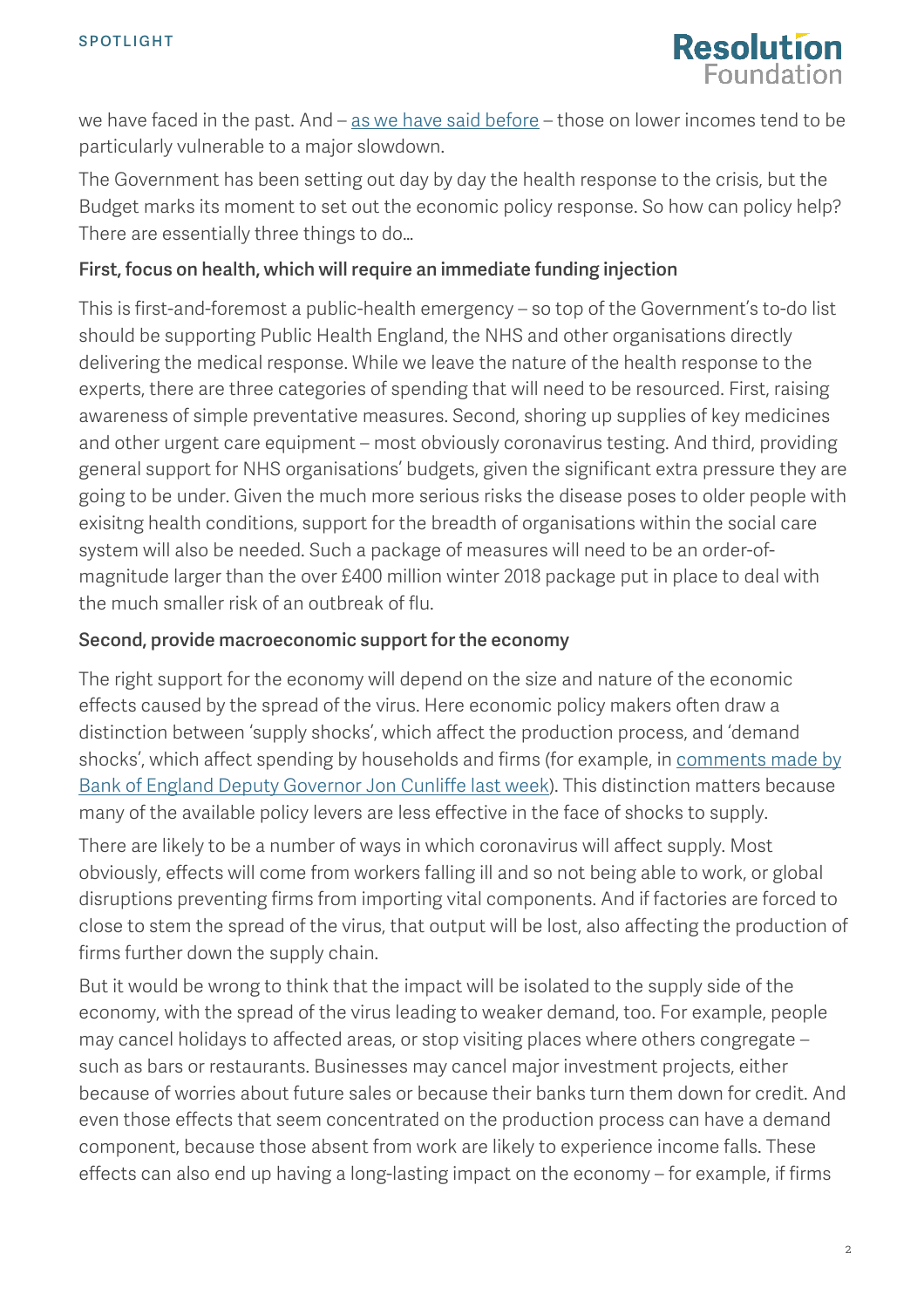

we have faced in the past. And  $-$  [as we have said before](https://www.resolutionfoundation.org/publications/a-problem-shared/)  $-$  those on lower incomes tend to be particularly vulnerable to a major slowdown.

The Government has been setting out day by day the health response to the crisis, but the Budget marks its moment to set out the economic policy response. So how can policy help? There are essentially three things to do…

### First, focus on health, which will require an immediate funding injection

This is first-and-foremost a public-health emergency – so top of the Government's to-do list should be supporting Public Health England, the NHS and other organisations directly delivering the medical response. While we leave the nature of the health response to the experts, there are three categories of spending that will need to be resourced. First, raising awareness of simple preventative measures. Second, shoring up supplies of key medicines and other urgent care equipment – most obviously coronavirus testing. And third, providing general support for NHS organisations' budgets, given the significant extra pressure they are going to be under. Given the much more serious risks the disease poses to older people with exisitng health conditions, support for the breadth of organisations within the social care system will also be needed. Such a package of measures will need to be an order-ofmagnitude larger than the over £400 million winter 2018 package put in place to deal with the much smaller risk of an outbreak of flu.

#### Second, provide macroeconomic support for the economy

The right support for the economy will depend on the size and nature of the economic effects caused by the spread of the virus. Here economic policy makers often draw a distinction between 'supply shocks', which affect the production process, and 'demand shocks', which affect spending by households and firms (for example, in comments made by [Bank of England Deputy Governor Jon Cunliffe last week\)](https://www.reuters.com/article/us-britain-boe-cunliffe/central-banks-face-limits-offsetting-coronavirus-hit-boes-cunliffe-idUSKCN20L1J3). This distinction matters because many of the available policy levers are less effective in the face of shocks to supply.

There are likely to be a number of ways in which coronavirus will affect supply. Most obviously, effects will come from workers falling ill and so not being able to work, or global disruptions preventing firms from importing vital components. And if factories are forced to close to stem the spread of the virus, that output will be lost, also affecting the production of firms further down the supply chain.

But it would be wrong to think that the impact will be isolated to the supply side of the economy, with the spread of the virus leading to weaker demand, too. For example, people may cancel holidays to affected areas, or stop visiting places where others congregate – such as bars or restaurants. Businesses may cancel major investment projects, either because of worries about future sales or because their banks turn them down for credit. And even those effects that seem concentrated on the production process can have a demand component, because those absent from work are likely to experience income falls. These effects can also end up having a long-lasting impact on the economy – for example, if firms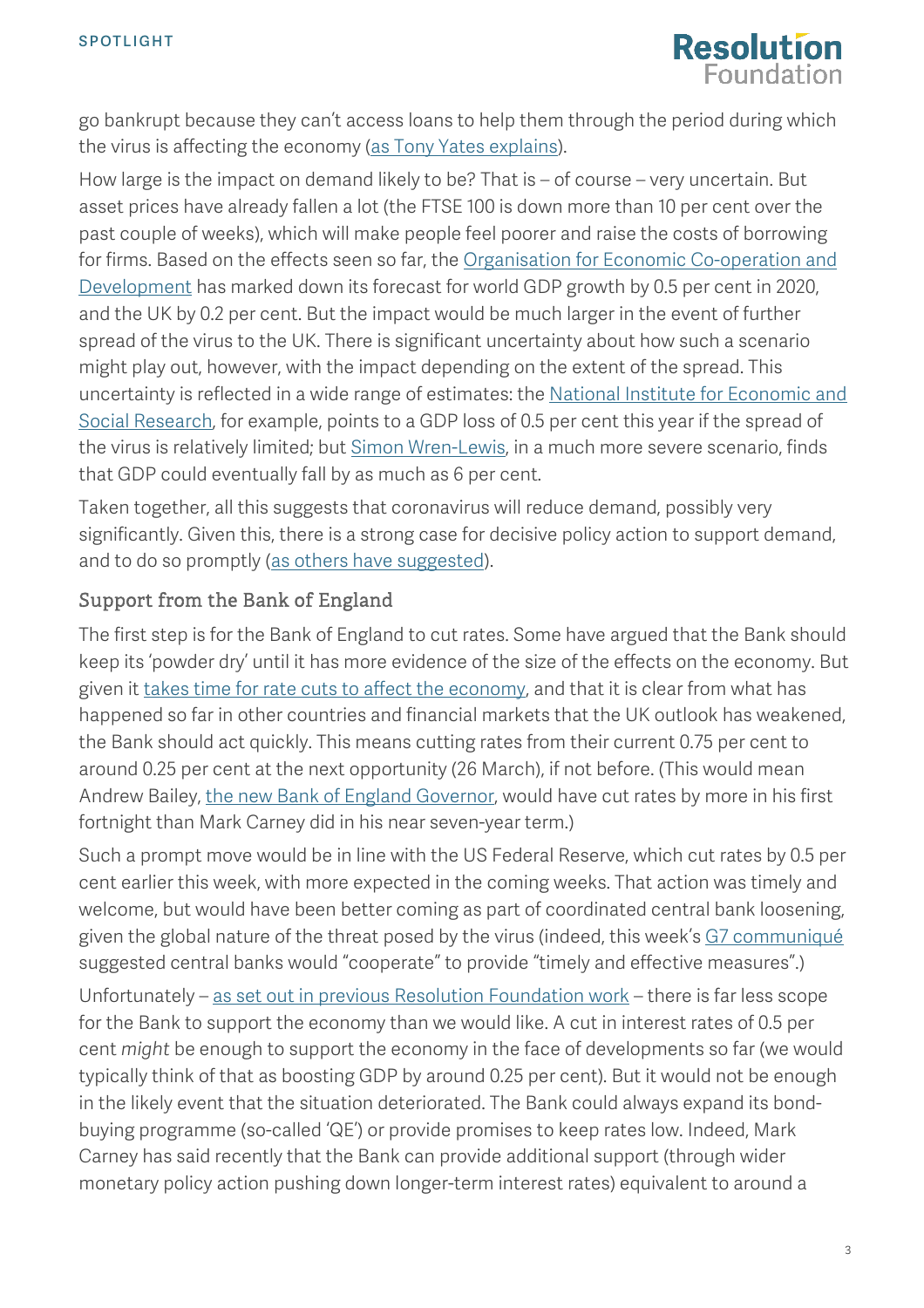

go bankrupt because they can't access loans to help them through the period during which the virus is affecting the economy [\(as Tony Yates explains\)](https://www.newstatesman.com/politics/economy/2020/03/global-economy-fights-coronavirus-helicopter-money-could-take).

How large is the impact on demand likely to be? That is – of course – very uncertain. But asset prices have already fallen a lot (the FTSE 100 is down more than 10 per cent over the past couple of weeks), which will make people feel poorer and raise the costs of borrowing for firms. Based on the effects seen so far, the Organisation for Economic Co-operation and [Development](http://www.oecd.org/berlin/publikationen/Interim-Economic-Assessment-2-March-2020.pdf) has marked down its forecast for world GDP growth by 0.5 per cent in 2020, and the UK by 0.2 per cent. But the impact would be much larger in the event of further spread of the virus to the UK. There is significant uncertainty about how such a scenario might play out, however, with the impact depending on the extent of the spread. This uncertainty is reflected in a wide range of estimates: the [National Institute for Economic and](https://www.niesr.ac.uk/sites/default/files/publications/NIESR%20Pre-Budget%202020%20Analysis.pdf)  [Social Research,](https://www.niesr.ac.uk/sites/default/files/publications/NIESR%20Pre-Budget%202020%20Analysis.pdf) for example, points to a GDP loss of 0.5 per cent this year if the spread of the virus is relatively limited; but [Simon Wren-Lewis,](https://mainlymacro.blogspot.com/2020/03/the-economic-effects-of-pandemic.html?utm_source=feedburner&utm_medium=email&utm_campaign=Feed:+MainlyMacro+(mainly+macro)) in a much more severe scenario, finds that GDP could eventually fall by as much as 6 per cent.

Taken together, all this suggests that coronavirus will reduce demand, possibly very significantly. Given this, there is a strong case for decisive policy action to support demand, and to do so promptly [\(as others have suggested\)](https://equitablegrowth.org/u-s-economic-policymakers-need-to-fight-the-coronavirus-now/).

# Support from the Bank of England

The first step is for the Bank of England to cut rates. Some have argued that the Bank should keep its 'powder dry' until it has more evidence of the size of the effects on the economy. But given it [takes time for rate cuts to affect the economy,](https://www.bankofengland.co.uk/-/media/boe/files/quarterly-bulletin/1999/the-transmission-mechanism-of-monetary-policy) and that it is clear from what has happened so far in other countries and financial markets that the UK outlook has weakened, the Bank should act quickly. This means cutting rates from their current 0.75 per cent to around 0.25 per cent at the next opportunity (26 March), if not before. (This would mean Andrew Bailey, [the new Bank of England Governor,](https://www.bankofengland.co.uk/news/2019/december/andrew-bailey-announced-as-new-governor-of-the-boe) would have cut rates by more in his first fortnight than Mark Carney did in his near seven-year term.)

Such a prompt move would be in line with the US Federal Reserve, which cut rates by 0.5 per cent earlier this week, with more expected in the coming weeks. That action was timely and welcome, but would have been better coming as part of coordinated central bank loosening, given the global nature of the threat posed by the virus (indeed, this week's [G7 communiqué](https://home.treasury.gov/news/press-releases/sm927) suggested central banks would "cooperate" to provide "timely and effective measures".)

Unfortunately – as set out in [previous Resolution Foundation work](https://www.resolutionfoundation.org/app/uploads/2019/09/MPU-paper.pdf) – there is far less scope for the Bank to support the economy than we would like. A cut in interest rates of 0.5 per cent *might* be enough to support the economy in the face of developments so far (we would typically think of that as boosting GDP by around 0.25 per cent). But it would not be enough in the likely event that the situation deteriorated. The Bank could always expand its bondbuying programme (so-called 'QE') or provide promises to keep rates low. Indeed, Mark Carney [has said recently](https://www.bankofengland.co.uk/speech/2020/mark-carney-opening-remarks-at-the-future-of-inflation-targeting-conference) that the Bank can provide additional support (through wider monetary policy action pushing down longer-term interest rates) equivalent to around a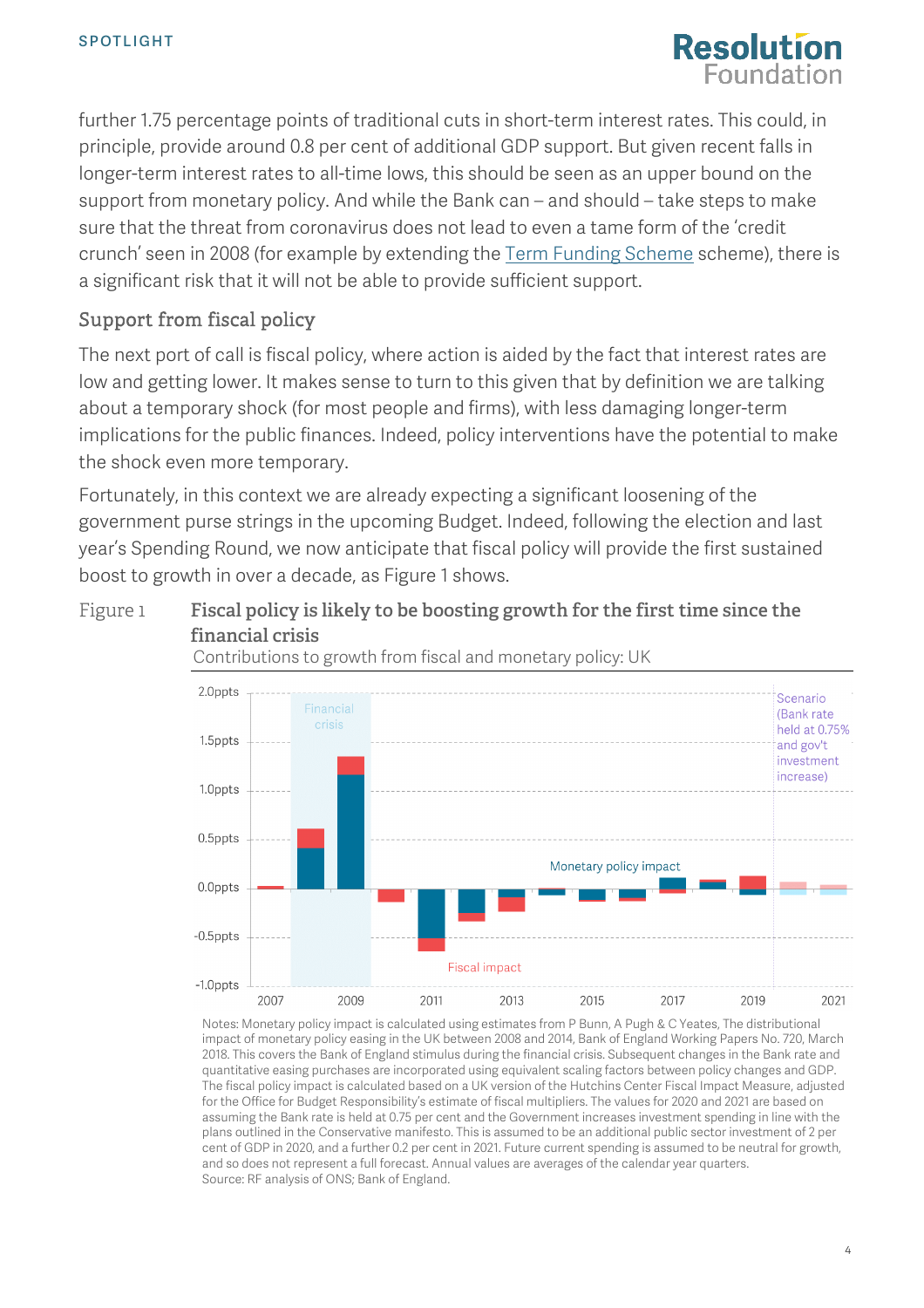

further 1.75 percentage points of traditional cuts in short-term interest rates. This could, in principle, provide around 0.8 per cent of additional GDP support. But given recent falls in longer-term interest rates to all-time lows, this should be seen as an upper bound on the support from monetary policy. And while the Bank can – and should – take steps to make sure that the threat from coronavirus does not lead to even a tame form of the 'credit crunch' seen in 2008 (for example by extending the [Term Funding](https://www.bankofengland.co.uk/-/media/boe/files/quarterly-bulletin/2018/term-funding-scheme-web-version.pdf) Scheme scheme), there is a significant risk that it will not be able to provide sufficient support.

## Support from fiscal policy

The next port of call is fiscal policy, where action is aided by the fact that interest rates are low and getting lower. It makes sense to turn to this given that by definition we are talking about a temporary shock (for most people and firms), with less damaging longer-term implications for the public finances. Indeed, policy interventions have the potential to make the shock even more temporary.

Fortunately, in this context we are already expecting a significant loosening of the government purse strings in the upcoming Budget. Indeed, following the election and last year's Spending Round, we now anticipate that fiscal policy will provide the first sustained boost to growth in over a decade, as [Figure 1](#page-3-0) shows.

# <span id="page-3-0"></span>Figure 1 **Fiscal policy is likely to be boosting growth for the first time since the financial crisis**

Contributions to growth from fiscal and monetary policy: UK



Notes: Monetary policy impact is calculated using estimates from P Bunn, A Pugh & C Yeates, The distributional impact of monetary policy easing in the UK between 2008 and 2014, Bank of England Working Papers No. 720, March 2018. This covers the Bank of England stimulus during the financial crisis. Subsequent changes in the Bank rate and quantitative easing purchases are incorporated using equivalent scaling factors between policy changes and GDP. The fiscal policy impact is calculated based on a UK version of the Hutchins Center Fiscal Impact Measure, adjusted for the Office for Budget Responsibility's estimate of fiscal multipliers. The values for 2020 and 2021 are based on assuming the Bank rate is held at 0.75 per cent and the Government increases investment spending in line with the plans outlined in the Conservative manifesto. This is assumed to be an additional public sector investment of 2 per cent of GDP in 2020, and a further 0.2 per cent in 2021. Future current spending is assumed to be neutral for growth, and so does not represent a full forecast. Annual values are averages of the calendar year quarters. Source: RF analysis of ONS; Bank of England.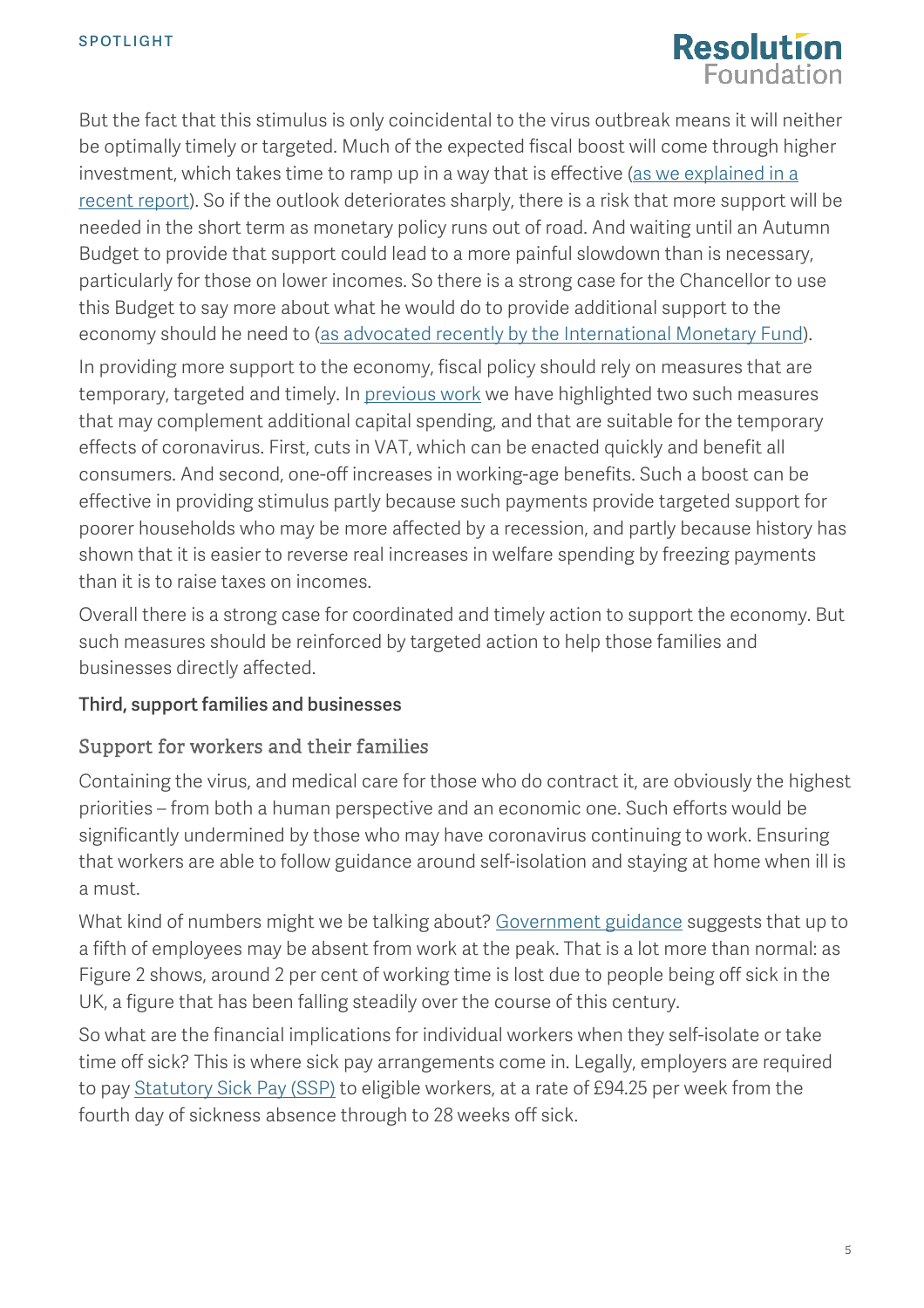# **Resolution Foundation**

But the fact that this stimulus is only coincidental to the virus outbreak means it will neither be optimally timely or targeted. Much of the expected fiscal boost will come through higher investment, which takes time to ramp up in a way that is effective [\(as we explained](https://www.resolutionfoundation.org/publications/euston-we-have-a-problem/) in a [recent report\)](https://www.resolutionfoundation.org/publications/euston-we-have-a-problem/). So if the outlook deteriorates sharply, there is a risk that more support will be needed in the short term as monetary policy runs out of road. And waiting until an Autumn Budget to provide that support could lead to a more painful slowdown than is necessary, particularly for those on lower incomes. So there is a strong case for the Chancellor to use this Budget to say more about what he would do to provide additional support to the economy should he need to [\(as advocated recently by the International](https://blogs.imf.org/2020/03/05/fiscal-policies-to-protect-people-during-the-coronavirus-outbreak/) Monetary Fund).

In providing more support to the economy, fiscal policy should rely on measures that are temporary, targeted and timely. In [previous work](https://www.resolutionfoundation.org/app/uploads/2019/09/Dealing-with-no-deal.pdf) we have highlighted two such measures that may complement additional capital spending, and that are suitable for the temporary effects of coronavirus. First, cuts in VAT, which can be enacted quickly and benefit all consumers. And second, one-off increases in working-age benefits. Such a boost can be effective in providing stimulus partly because such payments provide targeted support for poorer households who may be more affected by a recession, and partly because history has shown that it is easier to reverse real increases in welfare spending by freezing payments than it is to raise taxes on incomes.

Overall there is a strong case for coordinated and timely action to support the economy. But such measures should be reinforced by targeted action to help those families and businesses directly affected.

### Third, support families and businesses

### Support for workers and their families

Containing the virus, and medical care for those who do contract it, are obviously the highest priorities – from both a human perspective and an economic one. Such efforts would be significantly undermined by those who may have coronavirus continuing to work. Ensuring that workers are able to follow guidance around self-isolation and staying at home when ill is a must.

What kind of numbers might we be talking about? [Government guidance](https://www.gov.uk/government/publications/coronavirus-action-plan/coronavirus-action-plan-a-guide-to-what-you-can-expect-across-the-uk) suggests that up to a fifth of employees may be absent from work at the peak. That is a lot more than normal: as [Figure 2](#page-5-0) shows, around 2 per cent of working time is lost due to people being off sick in the UK, a figure that has been falling steadily over the course of this century.

So what are the financial implications for individual workers when they self-isolate or take time off sick? This is where sick pay arrangements come in. Legally, employers are required to pay [Statutory Sick Pay \(SSP\)](https://www.gov.uk/statutory-sick-pay) to eligible workers, at a rate of £94.25 per week from the fourth day of sickness absence through to 28 weeks off sick.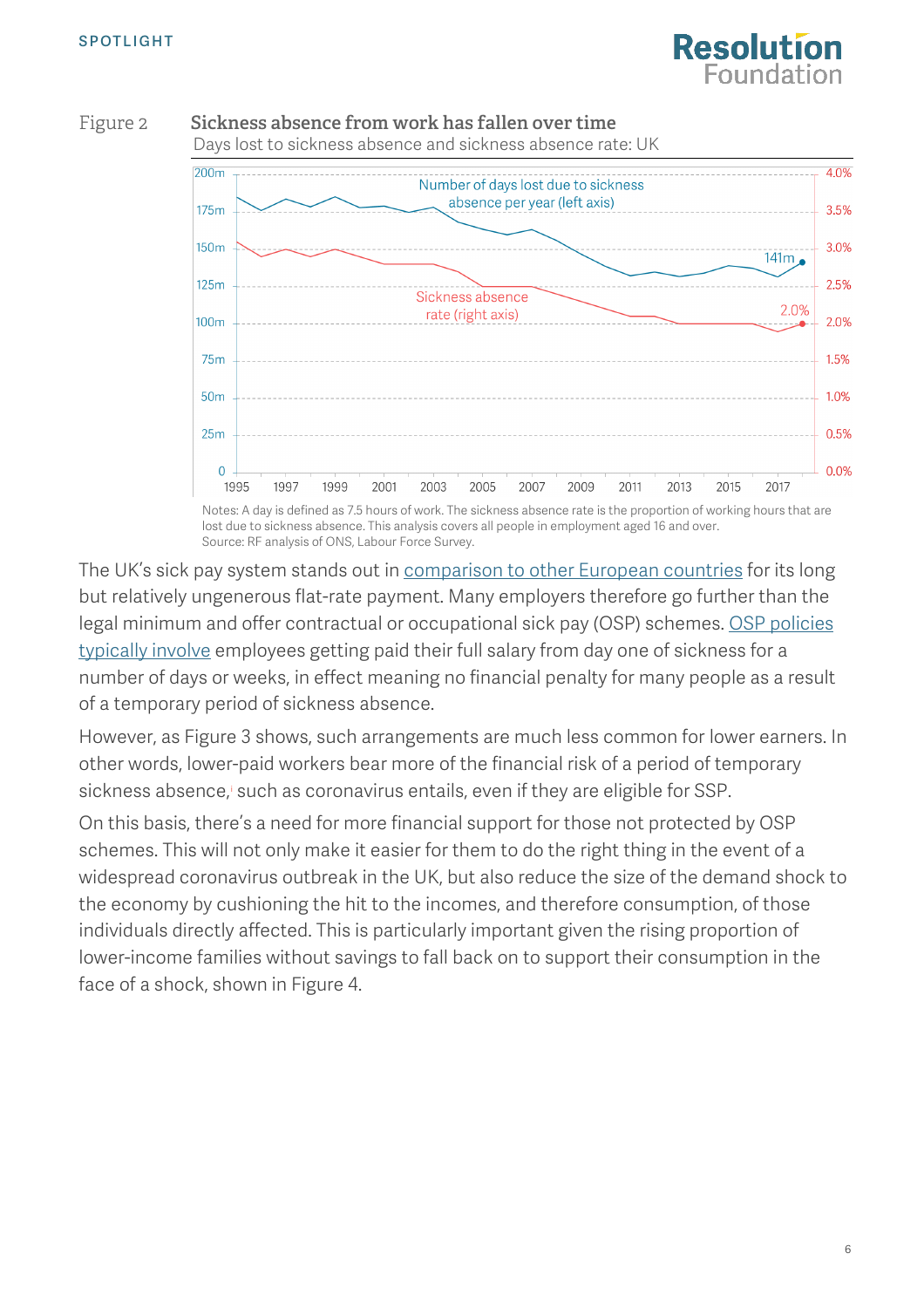

<span id="page-5-0"></span>



Notes: A day is defined as 7.5 hours of work. The sickness absence rate is the proportion of working hours that are lost due to sickness absence. This analysis covers all people in employment aged 16 and over. Source: RF analysis of ONS, Labour Force Survey.

The UK's sick pay system stands out in [comparison to other European countries](https://op.europa.eu/en/publication-detail/-/publication/fc7a58b4-2599-11e7-ab65-01aa75ed71a1) for its long but relatively ungenerous flat-rate payment. Many employers therefore go further than the legal minimum and offer contractual or occupational sick pay (OSP) schemes. [OSP policies](https://www.theguardian.com/careers/careers-blog/sick-pay) typically involve employees getting paid their full salary from day one of sickness for a number of days or weeks, in effect meaning no financial penalty for many people as a result of a temporary period of sickness absence.

However, a[s Figure 3](#page-6-0) shows, such arrangements are much less common for lower earners. In other words, lower-paid workers bear more of the financial risk of a period of temporary s[i](#page-10-0)ckness absence, such as coronavirus entails, even if they are eligible for SSP.

On this basis, there's a need for more financial support for those not protected by OSP schemes. This will not only make it easier for them to do the right thing in the event of a widespread coronavirus outbreak in the UK, but also reduce the size of the demand shock to the economy by cushioning the hit to the incomes, and therefore consumption, of those individuals directly affected. This is particularly important given the rising proportion of lower-income families without savings to fall back on to support their consumption in the face of a shock, shown in [Figure 4.](#page-6-1)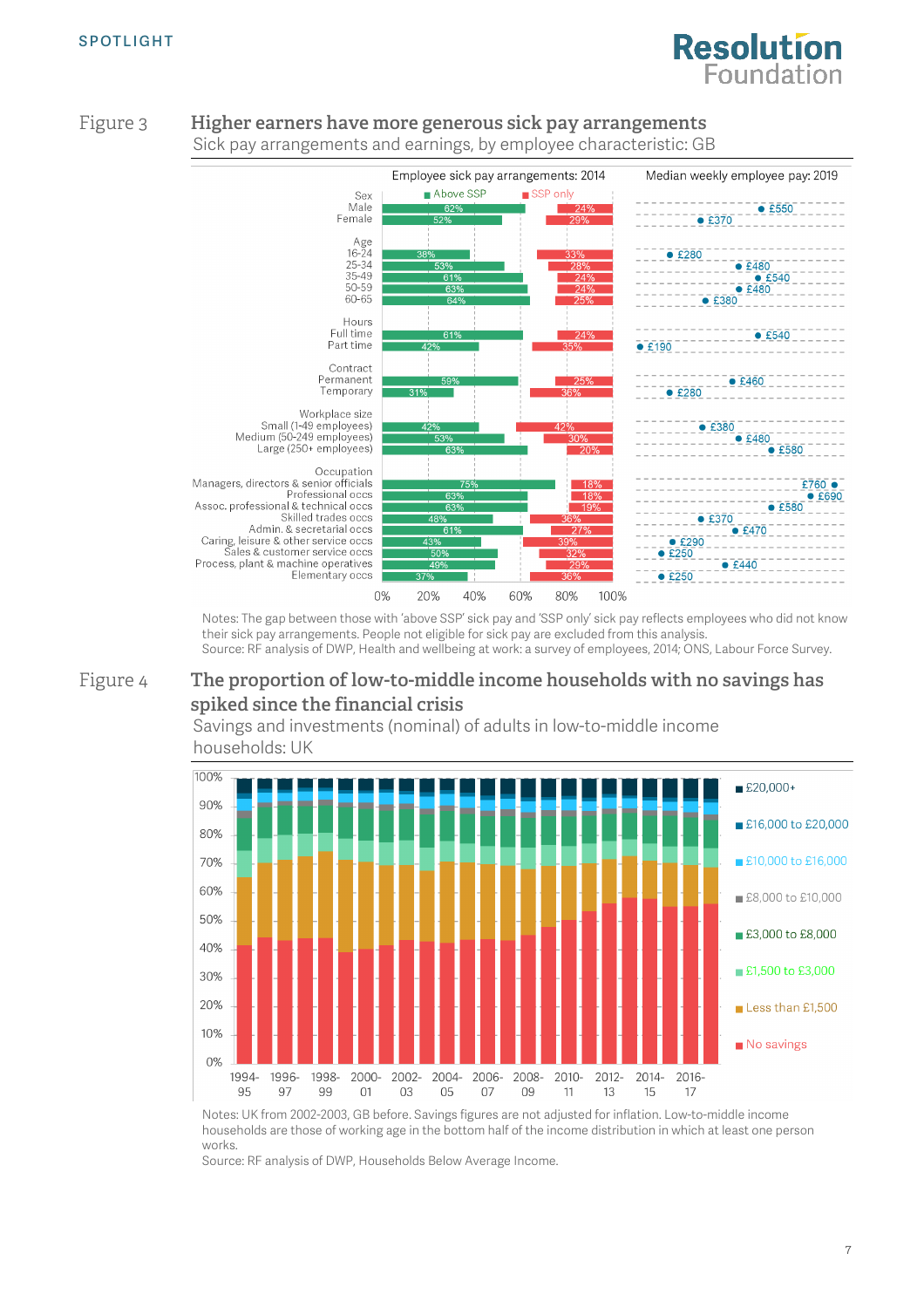# **Resolution Foundation**



#### <span id="page-6-0"></span>Figure 3 **Higher earners have more generous sick pay arrangements** Sick pay arrangements and earnings, by employee characteristic: GB

<span id="page-6-1"></span>Notes: The gap between those with 'above SSP' sick pay and 'SSP only' sick pay reflects employees who did not know their sick pay arrangements. People not eligible for sick pay are excluded from this analysis. Source: RF analysis of DWP, Health and wellbeing at work: a survey of employees, 2014; ONS, Labour Force Survey.

### Figure 4 **The proportion of low-to-middle income households with no savings has spiked since the financial crisis**



Savings and investments (nominal) of adults in low-to-middle income households: UK

Notes: UK from 2002-2003, GB before. Savings figures are not adjusted for inflation. Low-to-middle income households are those of working age in the bottom half of the income distribution in which at least one person works.

Source: RF analysis of DWP, Households Below Average Income.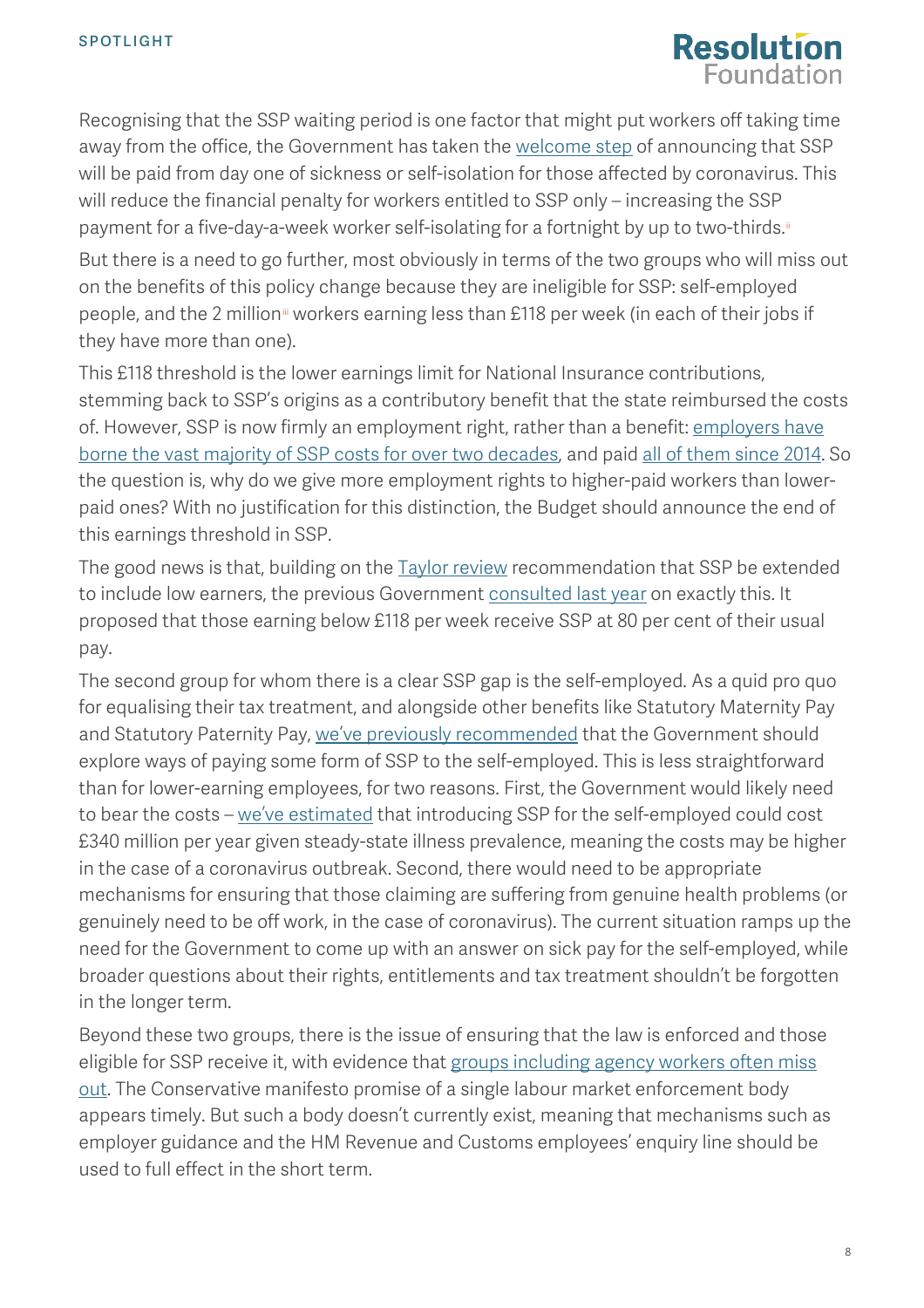

Recognising that the SSP waiting period is one factor that might put workers off taking time away from the office, the Government has taken the [welcome step](https://www.gov.uk/government/news/sick-pay-from-day-one-for-those-affected-by-coronavirus) of announcing that SSP will be paid from day one of sickness or self-isolation for those affected by coronavirus. This will reduce the financial penalty for workers entitled to SSP only – increasing the SSP payment for a five-day-a-week worker self-isolating for a fortnight by up to two-thirds.<sup>[ii](#page-10-1)</sup>

But there is a need to go further, most obviously in terms of the two groups who will miss out on the benefits of this policy change because they are ineligible for SSP: self-employed people, and the 2 million<sup>ii</sup> workers earning less than £118 per week (in each of their jobs if they have more than one).

This £118 threshold is the lower earnings limit for National Insurance contributions, stemming back to SSP's origins as a contributory benefit that the state reimbursed the costs of. However, SSP is now firmly an employment right, rather than a benefit: employers have [borne the vast majority of SSP costs for over two decades,](http://researchbriefings.files.parliament.uk/documents/RP93-116/RP93-116.pdf) and paid [all of them since 2014.](http://www.legislation.gov.uk/uksi/2014/897/pdfs/uksiem_20140897_en.pdf) So the question is, why do we give more employment rights to higher-paid workers than lowerpaid ones? With no justification for this distinction, the Budget should announce the end of this earnings threshold in SSP.

The good news is that, building on the **Taylor review** recommendation that SSP be extended to include low earners, the previous Government [consulted last year](https://www.gov.uk/government/consultations/health-is-everyones-business-proposals-to-reduce-ill-health-related-job-loss/health-is-everyones-business-proposals-to-reduce-ill-health-related-job-loss) on exactly this. It proposed that those earning below £118 per week receive SSP at 80 per cent of their usual pay.

The second group for whom there is a clear SSP gap is the self-employed. As a quid pro quo for equalising their tax treatment, and alongside other benefits like Statutory Maternity Pay and Statutory Paternity Pay, [we've previously recommended](https://www.resolutionfoundation.org/publications/work-in-brexit-britain-reshaping-the-nations-labour-market/) that the Government should explore ways of paying some form of SSP to the self-employed. This is less straightforward than for lower-earning employees, for two reasons. First, the Government would likely need to bear the costs – [we've estimated](https://www.resolutionfoundation.org/publications/work-in-brexit-britain-reshaping-the-nations-labour-market/) that introducing SSP for the self-employed could cost £340 million per year given steady-state illness prevalence, meaning the costs may be higher in the case of a coronavirus outbreak. Second, there would need to be appropriate mechanisms for ensuring that those claiming are suffering from genuine health problems (or genuinely need to be off work, in the case of coronavirus). The current situation ramps up the need for the Government to come up with an answer on sick pay for the self-employed, while broader questions about their rights, entitlements and tax treatment shouldn't be forgotten in the longer term.

Beyond these two groups, there is the issue of ensuring that the law is enforced and those eligible for SSP receive it, with evidence that [groups including agency workers often miss](https://www.resolutionfoundation.org/publications/the-good-the-bad-and-the-ugly-the-experience-of-agency-workers-and-the-policy-response/)  [out.](https://www.resolutionfoundation.org/publications/the-good-the-bad-and-the-ugly-the-experience-of-agency-workers-and-the-policy-response/) The Conservative manifesto promise of a single labour market enforcement body appears timely. But such a body doesn't currently exist, meaning that mechanisms such as employer guidance and the HM Revenue and Customs employees' enquiry line should be used to full effect in the short term.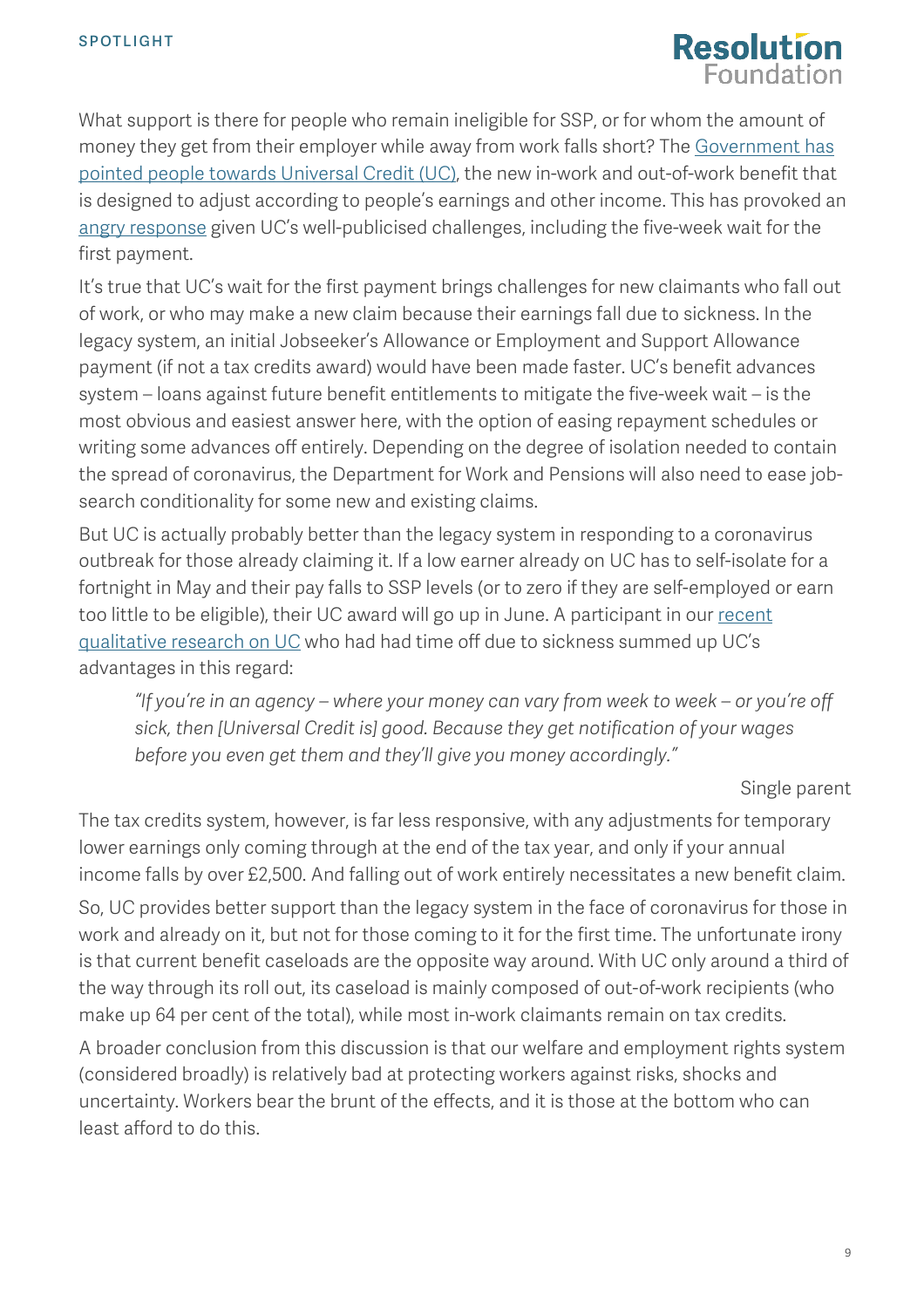

What support is there for people who remain ineligible for SSP, or for whom the amount of money they get from their employer while away from work falls short? The [Government](https://www.gov.uk/government/news/sick-pay-from-day-one-for-those-affected-by-coronavirus) has [pointed people towards Universal Credit \(UC\),](https://www.gov.uk/government/news/sick-pay-from-day-one-for-those-affected-by-coronavirus) the new in-work and out-of-work benefit that is designed to adjust according to people's earnings and other income. This has provoked an [angry response](https://www.independent.co.uk/news/uk/politics/coronavirus-news-gig-economy-workers-universal-government-lost-wage-a9371741.html) given UC's well-publicised challenges, including the five-week wait for the first payment.

It's true that UC's wait for the first payment brings challenges for new claimants who fall out of work, or who may make a new claim because their earnings fall due to sickness. In the legacy system, an initial Jobseeker's Allowance or Employment and Support Allowance payment (if not a tax credits award) would have been made faster. UC's benefit advances system – loans against future benefit entitlements to mitigate the five-week wait – is the most obvious and easiest answer here, with the option of easing repayment schedules or writing some advances off entirely. Depending on the degree of isolation needed to contain the spread of coronavirus, the Department for Work and Pensions will also need to ease jobsearch conditionality for some new and existing claims.

But UC is actually probably better than the legacy system in responding to a coronavirus outbreak for those already claiming it. If a low earner already on UC has to self-isolate for a fortnight in May and their pay falls to SSP levels (or to zero if they are self-employed or earn too little to be eligible), their UC award will go up in June. A participant in our recent [qualitative research on UC](https://www.resolutionfoundation.org/publications/the-long-and-winding-road/) who had had time off due to sickness summed up UC's advantages in this regard:

*"If you're in an agency – where your money can vary from week to week – or you're off sick, then [Universal Credit is] good. Because they get notification of your wages before you even get them and they'll give you money accordingly."*

Single parent

The tax credits system, however, is far less responsive, with any adjustments for temporary lower earnings only coming through at the end of the tax year, and only if your annual income falls by over £2,500. And falling out of work entirely necessitates a new benefit claim.

So, UC provides better support than the legacy system in the face of coronavirus for those in work and already on it, but not for those coming to it for the first time. The unfortunate irony is that current benefit caseloads are the opposite way around. With UC only around a third of the way through its roll out, its caseload is mainly composed of out-of-work recipients (who make up 64 per cent of the total), while most in-work claimants remain on tax credits.

A broader conclusion from this discussion is that our welfare and employment rights system (considered broadly) is relatively bad at protecting workers against risks, shocks and uncertainty. Workers bear the brunt of the effects, and it is those at the bottom who can least afford to do this.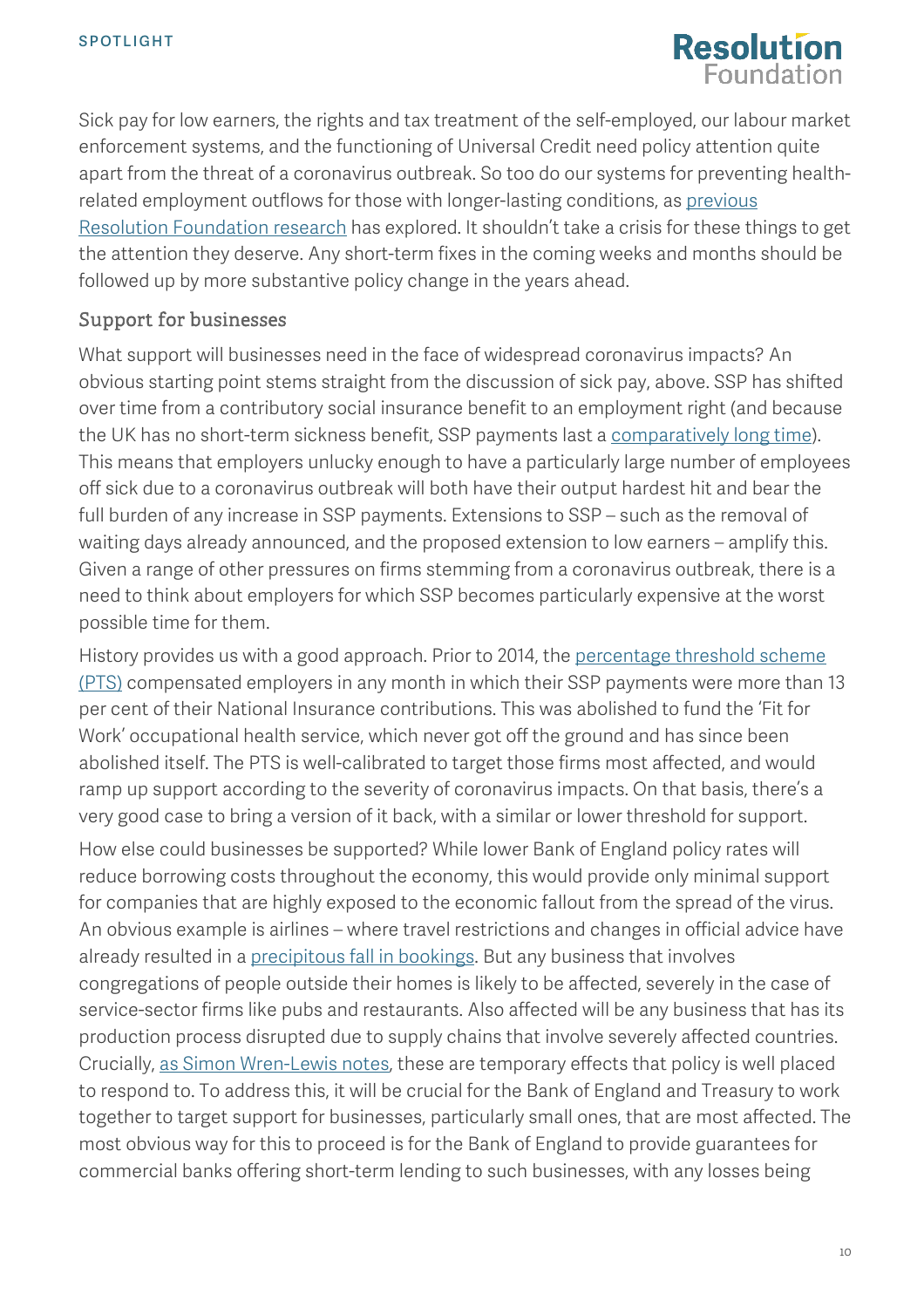

Sick pay for low earners, the rights and tax treatment of the self-employed, our labour market enforcement systems, and the functioning of Universal Credit need policy attention quite apart from the threat of a coronavirus outbreak. So too do our systems for preventing healthrelated employment outflows for those with longer-lasting conditions, as [previous](https://www.resolutionfoundation.org/publications/retention-deficit/)  [Resolution Foundation research](https://www.resolutionfoundation.org/publications/retention-deficit/) has explored. It shouldn't take a crisis for these things to get the attention they deserve. Any short-term fixes in the coming weeks and months should be followed up by more substantive policy change in the years ahead.

### Support for businesses

What support will businesses need in the face of widespread coronavirus impacts? An obvious starting point stems straight from the discussion of sick pay, above. SSP has shifted over time from a contributory social insurance benefit to an employment right (and because the UK has no short-term sickness benefit, SSP payments last a [comparatively long time\)](https://op.europa.eu/en/publication-detail/-/publication/fc7a58b4-2599-11e7-ab65-01aa75ed71a1). This means that employers unlucky enough to have a particularly large number of employees off sick due to a coronavirus outbreak will both have their output hardest hit and bear the full burden of any increase in SSP payments. Extensions to SSP – such as the removal of waiting days already announced, and the proposed extension to low earners – amplify this. Given a range of other pressures on firms stemming from a coronavirus outbreak, there is a need to think about employers for which SSP becomes particularly expensive at the worst possible time for them.

History provides us with a good approach. Prior to 2014, the [percentage threshold scheme](https://www.gov.uk/hmrc-internal-manuals/statutory-payments-manual/spm180200)  [\(PTS\)](https://www.gov.uk/hmrc-internal-manuals/statutory-payments-manual/spm180200) compensated employers in any month in which their SSP payments were more than 13 per cent of their National Insurance contributions. This was abolished to fund the 'Fit for Work' occupational health service, which never got off the ground and has since been abolished itself. The PTS is well-calibrated to target those firms most affected, and would ramp up support according to the severity of coronavirus impacts. On that basis, there's a very good case to bring a version of it back, with a similar or lower threshold for support. How else could businesses be supported? While lower Bank of England policy rates will reduce borrowing costs throughout the economy, this would provide only minimal support for companies that are highly exposed to the economic fallout from the spread of the virus. An obvious example is airlines – where travel restrictions and changes in official advice have already resulted in a [precipitous fall in bookings.](https://www.independent.co.uk/travel/news-and-advice/coronavirus-flight-travel-bookings-outbreak-latest-a9371291.html) But any business that involves congregations of people outside their homes is likely to be affected, severely in the case of service-sector firms like pubs and restaurants. Also affected will be any business that has its production process disrupted due to supply chains that involve severely affected countries. Crucially, [as Simon Wren-Lewis notes,](https://mainlymacro.blogspot.com/2020/03/the-economic-effects-of-pandemic.html) these are temporary effects that policy is well placed to respond to. To address this, it will be crucial for the Bank of England and Treasury to work together to target support for businesses, particularly small ones, that are most affected. The most obvious way for this to proceed is for the Bank of England to provide guarantees for commercial banks offering short-term lending to such businesses, with any losses being